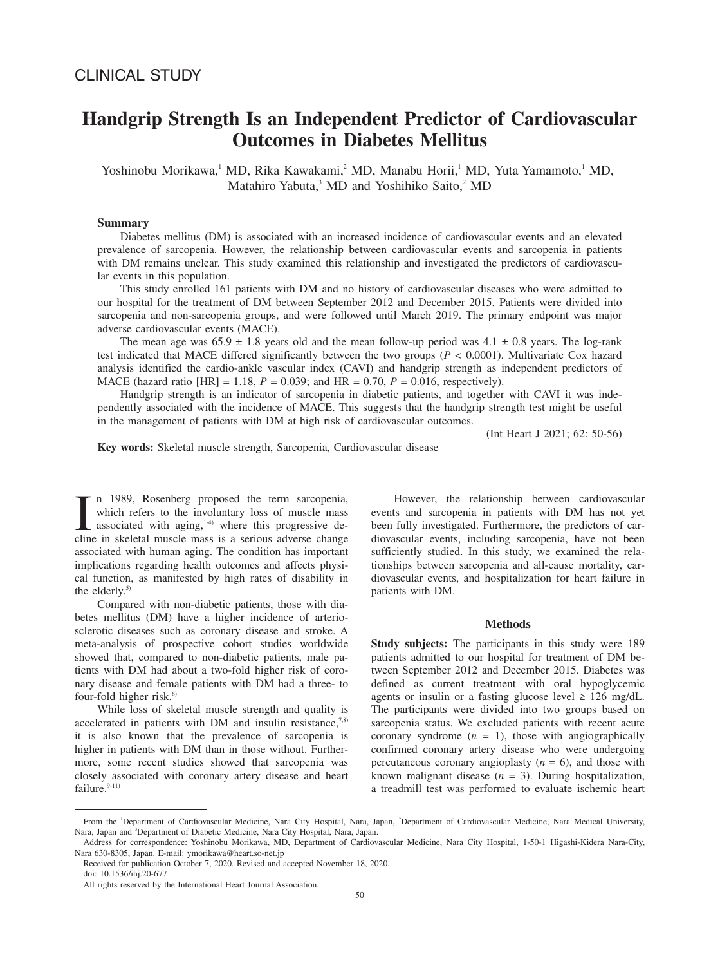# **Handgrip Strength Is an Independent Predictor of Cardiovascular Outcomes in Diabetes Mellitus**

Yoshinobu Morikawa,<sup>1</sup> MD, Rika Kawakami,<sup>2</sup> MD, Manabu Horii,<sup>1</sup> MD, Yuta Yamamoto,<sup>1</sup> MD, Matahiro Yabuta,<sup>3</sup> MD and Yoshihiko Saito,<sup>2</sup> MD

## **Summary**

Diabetes mellitus (DM) is associated with an increased incidence of cardiovascular events and an elevated prevalence of sarcopenia. However, the relationship between cardiovascular events and sarcopenia in patients with DM remains unclear. This study examined this relationship and investigated the predictors of cardiovascular events in this population.

This study enrolled 161 patients with DM and no history of cardiovascular diseases who were admitted to our hospital for the treatment of DM between September 2012 and December 2015. Patients were divided into sarcopenia and non-sarcopenia groups, and were followed until March 2019. The primary endpoint was major adverse cardiovascular events (MACE).

The mean age was  $65.9 \pm 1.8$  years old and the mean follow-up period was  $4.1 \pm 0.8$  years. The log-rank test indicated that MACE differed significantly between the two groups (*P* < 0.0001). Multivariate Cox hazard analysis identified the cardio-ankle vascular index (CAVI) and handgrip strength as independent predictors of MACE (hazard ratio  $[HR] = 1.18$ ,  $P = 0.039$ ; and  $HR = 0.70$ ,  $P = 0.016$ , respectively).

Handgrip strength is an indicator of sarcopenia in diabetic patients, and together with CAVI it was independently associated with the incidence of MACE. This suggests that the handgrip strength test might be useful in the management of patients with DM at high risk of cardiovascular outcomes.

(Int Heart J 2021; 62: 50-56)

**Key words:** Skeletal muscle strength, Sarcopenia, Cardiovascular disease

I n 1989, Rosenberg proposed the term sarcopenia, which refers to the involuntary loss of muscle mass associated with aging,<sup>1-4)</sup> where this progressive decline in skeletal muscle mass is a serious adverse change n 1989, Rosenberg proposed the term sarcopenia, which refers to the involuntary loss of muscle mass associated with aging, $1-4$ <sup>1</sup> where this progressive deassociated with human aging. The condition has important implications regarding health outcomes and affects physical function, as manifested by high rates of disability in the elderly.<sup>5)</sup>

Compared with non-diabetic patients, those with diabetes mellitus (DM) have a higher incidence of arteriosclerotic diseases such as coronary disease and stroke. A meta-analysis of prospective cohort studies worldwide showed that, compared to non-diabetic patients, male patients with DM had about a two-fold higher risk of coronary disease and female patients with DM had a three- to four-fold higher risk. $6$ 

While loss of skeletal muscle strength and quality is accelerated in patients with DM and insulin resistance, $7.8$ ) it is also known that the prevalence of sarcopenia is higher in patients with DM than in those without. Furthermore, some recent studies showed that sarcopenia was closely associated with coronary artery disease and heart failure.<sup>9-11)</sup>

However, the relationship between cardiovascular events and sarcopenia in patients with DM has not yet been fully investigated. Furthermore, the predictors of cardiovascular events, including sarcopenia, have not been sufficiently studied. In this study, we examined the relationships between sarcopenia and all-cause mortality, cardiovascular events, and hospitalization for heart failure in patients with DM.

## **Methods**

**Study subjects:** The participants in this study were 189 patients admitted to our hospital for treatment of DM between September 2012 and December 2015. Diabetes was defined as current treatment with oral hypoglycemic agents or insulin or a fasting glucose level  $\geq 126$  mg/dL. The participants were divided into two groups based on sarcopenia status. We excluded patients with recent acute coronary syndrome  $(n = 1)$ , those with angiographically confirmed coronary artery disease who were undergoing percutaneous coronary angioplasty  $(n = 6)$ , and those with known malignant disease  $(n = 3)$ . During hospitalization, a treadmill test was performed to evaluate ischemic heart

From the 'Department of Cardiovascular Medicine, Nara City Hospital, Nara, Japan, 'Department of Cardiovascular Medicine, Nara Medical University, Nara, Japan and 3Department of Diabetic Medicine, Nara City Hospital, Nara, Japan.

Address for correspondence: Yoshinobu Morikawa, MD, Department of Cardiovascular Medicine, Nara City Hospital, 1-50-1 Higashi-Kidera Nara-City, Nara 630-8305, Japan. E-mail: ymorikawa@heart.so-net.jp

Received for publication October 7, 2020. Revised and accepted November 18, 2020. doi: 10.1536/ihj.20-677

All rights reserved by the International Heart Journal Association.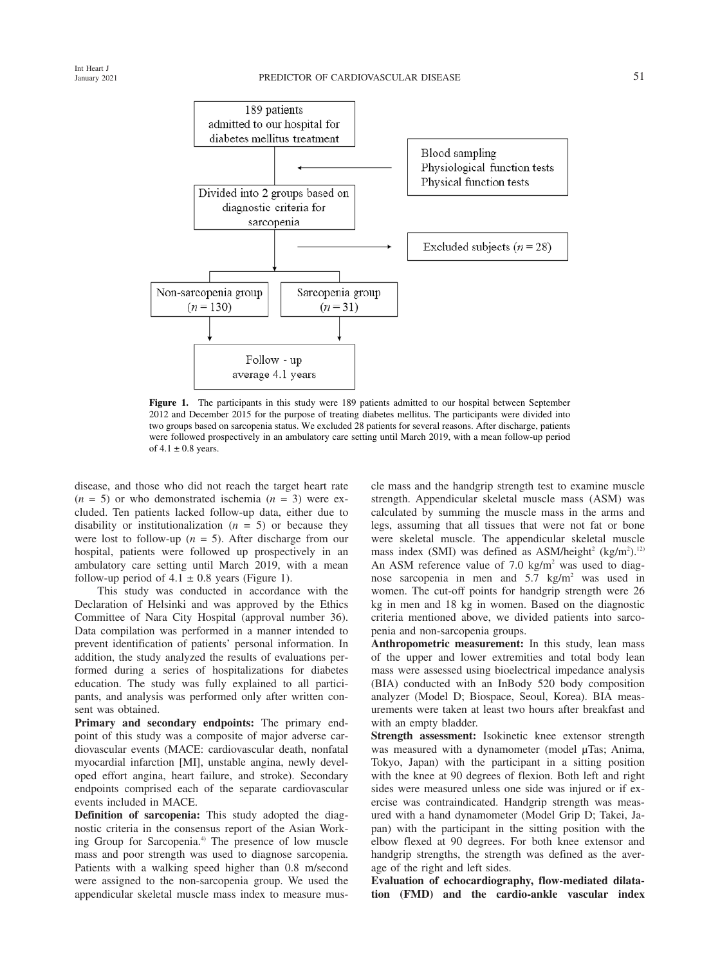



**Figure 1.** The participants in this study were 189 patients admitted to our hospital between September 2012 and December 2015 for the purpose of treating diabetes mellitus. The participants were divided into two groups based on sarcopenia status. We excluded 28 patients for several reasons. After discharge, patients were followed prospectively in an ambulatory care setting until March 2019, with a mean follow-up period of  $4.1 \pm 0.8$  years.

disease, and those who did not reach the target heart rate  $(n = 5)$  or who demonstrated ischemia  $(n = 3)$  were excluded. Ten patients lacked follow-up data, either due to disability or institutionalization  $(n = 5)$  or because they were lost to follow-up  $(n = 5)$ . After discharge from our hospital, patients were followed up prospectively in an ambulatory care setting until March 2019, with a mean follow-up period of  $4.1 \pm 0.8$  years (Figure 1).

This study was conducted in accordance with the Declaration of Helsinki and was approved by the Ethics Committee of Nara City Hospital (approval number 36). Data compilation was performed in a manner intended to prevent identification of patients' personal information. In addition, the study analyzed the results of evaluations performed during a series of hospitalizations for diabetes education. The study was fully explained to all participants, and analysis was performed only after written consent was obtained.

**Primary and secondary endpoints:** The primary endpoint of this study was a composite of major adverse cardiovascular events (MACE: cardiovascular death, nonfatal myocardial infarction [MI], unstable angina, newly developed effort angina, heart failure, and stroke). Secondary endpoints comprised each of the separate cardiovascular events included in MACE.

**Definition of sarcopenia:** This study adopted the diagnostic criteria in the consensus report of the Asian Working Group for Sarcopenia.<sup>4)</sup> The presence of low muscle mass and poor strength was used to diagnose sarcopenia. Patients with a walking speed higher than 0.8 m/second were assigned to the non-sarcopenia group. We used the appendicular skeletal muscle mass index to measure muscle mass and the handgrip strength test to examine muscle strength. Appendicular skeletal muscle mass (ASM) was calculated by summing the muscle mass in the arms and legs, assuming that all tissues that were not fat or bone were skeletal muscle. The appendicular skeletal muscle mass index (SMI) was defined as ASM/height<sup>2</sup> (kg/m<sup>2</sup>).<sup>12</sup> An ASM reference value of  $7.0 \text{ kg/m}^2$  was used to diagnose sarcopenia in men and 5.7 kg/m<sup>2</sup> was used in women. The cut-off points for handgrip strength were 26 kg in men and 18 kg in women. Based on the diagnostic criteria mentioned above, we divided patients into sarcopenia and non-sarcopenia groups.

**Anthropometric measurement:** In this study, lean mass of the upper and lower extremities and total body lean mass were assessed using bioelectrical impedance analysis (BIA) conducted with an InBody 520 body composition analyzer (Model D; Biospace, Seoul, Korea). BIA measurements were taken at least two hours after breakfast and with an empty bladder.

**Strength assessment:** Isokinetic knee extensor strength was measured with a dynamometer (model μTas; Anima, Tokyo, Japan) with the participant in a sitting position with the knee at 90 degrees of flexion. Both left and right sides were measured unless one side was injured or if exercise was contraindicated. Handgrip strength was measured with a hand dynamometer (Model Grip D; Takei, Japan) with the participant in the sitting position with the elbow flexed at 90 degrees. For both knee extensor and handgrip strengths, the strength was defined as the average of the right and left sides.

**Evaluation of echocardiography, flow-mediated dilatation (FMD) and the cardio-ankle vascular index**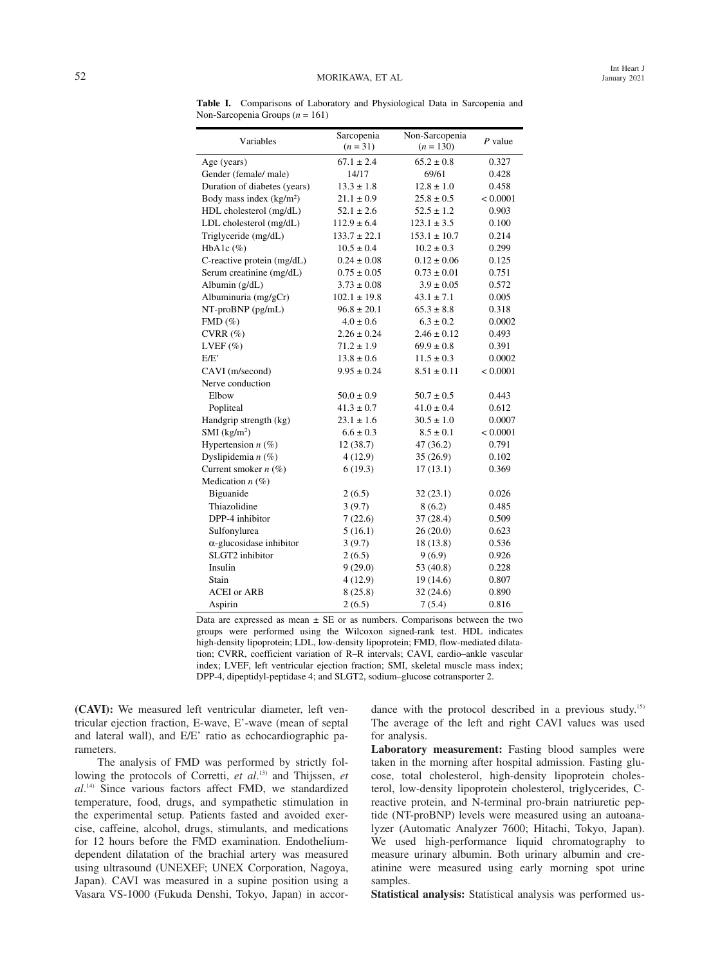**Table I.** Comparisons of Laboratory and Physiological Data in Sarcopenia and Non-Sarcopenia Groups (*n* = 161)

| Variables                       | Sarcopenia<br>$(n = 31)$ | Non-Sarcopenia<br>$(n = 130)$ | $P$ value |  |
|---------------------------------|--------------------------|-------------------------------|-----------|--|
| Age (years)                     | $67.1 \pm 2.4$           | $65.2 \pm 0.8$                | 0.327     |  |
| Gender (female/ male)           | 14/17                    | 69/61                         | 0.428     |  |
| Duration of diabetes (years)    | $13.3 \pm 1.8$           | $12.8 \pm 1.0$                | 0.458     |  |
| Body mass index $(kg/m2)$       | $21.1 \pm 0.9$           | $25.8 \pm 0.5$                | < 0.0001  |  |
| HDL cholesterol (mg/dL)         | $52.1 \pm 2.6$           | $52.5 \pm 1.2$                | 0.903     |  |
| LDL cholesterol (mg/dL)         | $112.9 \pm 6.4$          | $123.1 \pm 3.5$               | 0.100     |  |
| Triglyceride (mg/dL)            | $133.7 \pm 22.1$         | $153.1 \pm 10.7$              | 0.214     |  |
| HbA1c $(\%)$                    | $10.5 \pm 0.4$           | $10.2 \pm 0.3$                | 0.299     |  |
| C-reactive protein (mg/dL)      | $0.24 \pm 0.08$          | $0.12 \pm 0.06$               | 0.125     |  |
| Serum creatinine (mg/dL)        | $0.75 \pm 0.05$          | $0.73 \pm 0.01$               | 0.751     |  |
| Albumin (g/dL)                  | $3.73 \pm 0.08$          | $3.9 \pm 0.05$                | 0.572     |  |
| Albuminuria (mg/gCr)            | $102.1 \pm 19.8$         | $43.1 \pm 7.1$                | 0.005     |  |
| NT-proBNP (pg/mL)               | $96.8 \pm 20.1$          | $65.3 \pm 8.8$                | 0.318     |  |
| FMD(%)                          | $4.0 \pm 0.6$            | $6.3 \pm 0.2$                 | 0.0002    |  |
| $CVRR (\%)$                     | $2.26 \pm 0.24$          | $2.46 \pm 0.12$               | 0.493     |  |
| LVEF $(\% )$                    | $71.2 \pm 1.9$           | $69.9 \pm 0.8$                | 0.391     |  |
| E/E'                            | $13.8 \pm 0.6$           | $11.5 \pm 0.3$                | 0.0002    |  |
| CAVI (m/second)                 | $9.95 \pm 0.24$          | $8.51 \pm 0.11$               | < 0.0001  |  |
| Nerve conduction                |                          |                               |           |  |
| Elbow                           | $50.0 \pm 0.9$           | $50.7 \pm 0.5$                | 0.443     |  |
| Popliteal                       | $41.3 \pm 0.7$           | $41.0 \pm 0.4$                | 0.612     |  |
| Handgrip strength (kg)          | $23.1 \pm 1.6$           | $30.5 \pm 1.0$                | 0.0007    |  |
| $SMI$ (kg/m <sup>2</sup> )      | $6.6 \pm 0.3$            | $8.5 \pm 0.1$                 | < 0.0001  |  |
| Hypertension $n$ (%)            | 12(38.7)                 | 47 (36.2)                     | 0.791     |  |
| Dyslipidemia $n$ (%)            | 4(12.9)                  | 35(26.9)                      | 0.102     |  |
| Current smoker $n$ (%)          | 6(19.3)                  | 17(13.1)                      | 0.369     |  |
| Medication $n$ (%)              |                          |                               |           |  |
| Biguanide                       | 2(6.5)                   | 32(23.1)                      | 0.026     |  |
| Thiazolidine                    | 3(9.7)                   | 8(6.2)                        | 0.485     |  |
| DPP-4 inhibitor                 | 7(22.6)                  | 37(28.4)                      | 0.509     |  |
| Sulfonylurea                    | 5(16.1)                  | 26(20.0)                      | 0.623     |  |
| $\alpha$ -glucosidase inhibitor | 3(9.7)                   | 18(13.8)                      | 0.536     |  |
| SLGT2 inhibitor                 | 2(6.5)                   | 9(6.9)                        | 0.926     |  |
| Insulin                         | 9(29.0)                  | 53 (40.8)                     | 0.228     |  |
| Stain                           | 4(12.9)                  | 19(14.6)                      | 0.807     |  |
| <b>ACEI</b> or ARB              | 8(25.8)                  | 32(24.6)                      | 0.890     |  |
| Aspirin                         | 2(6.5)                   | 7(5.4)                        | 0.816     |  |

Data are expressed as mean  $\pm$  SE or as numbers. Comparisons between the two groups were performed using the Wilcoxon signed-rank test. HDL indicates high-density lipoprotein; LDL, low-density lipoprotein; FMD, flow-mediated dilatation; CVRR, coefficient variation of R–R intervals; CAVI, cardio–ankle vascular index; LVEF, left ventricular ejection fraction; SMI, skeletal muscle mass index; DPP-4, dipeptidyl-peptidase 4; and SLGT2, sodium–glucose cotransporter 2.

**(CAVI):** We measured left ventricular diameter, left ventricular ejection fraction, E-wave, E'-wave (mean of septal and lateral wall), and E/E' ratio as echocardiographic parameters.

The analysis of FMD was performed by strictly following the protocols of Corretti, *et al.*<sup>13</sup> and Thijssen, *et al*. 14) Since various factors affect FMD, we standardized temperature, food, drugs, and sympathetic stimulation in the experimental setup. Patients fasted and avoided exercise, caffeine, alcohol, drugs, stimulants, and medications for 12 hours before the FMD examination. Endotheliumdependent dilatation of the brachial artery was measured using ultrasound (UNEXEF; UNEX Corporation, Nagoya, Japan). CAVI was measured in a supine position using a Vasara VS-1000 (Fukuda Denshi, Tokyo, Japan) in accordance with the protocol described in a previous study.<sup>15)</sup> The average of the left and right CAVI values was used for analysis.

**Laboratory measurement:** Fasting blood samples were taken in the morning after hospital admission. Fasting glucose, total cholesterol, high-density lipoprotein cholesterol, low-density lipoprotein cholesterol, triglycerides, Creactive protein, and N-terminal pro-brain natriuretic peptide (NT-proBNP) levels were measured using an autoanalyzer (Automatic Analyzer 7600; Hitachi, Tokyo, Japan). We used high-performance liquid chromatography to measure urinary albumin. Both urinary albumin and creatinine were measured using early morning spot urine samples.

**Statistical analysis:** Statistical analysis was performed us-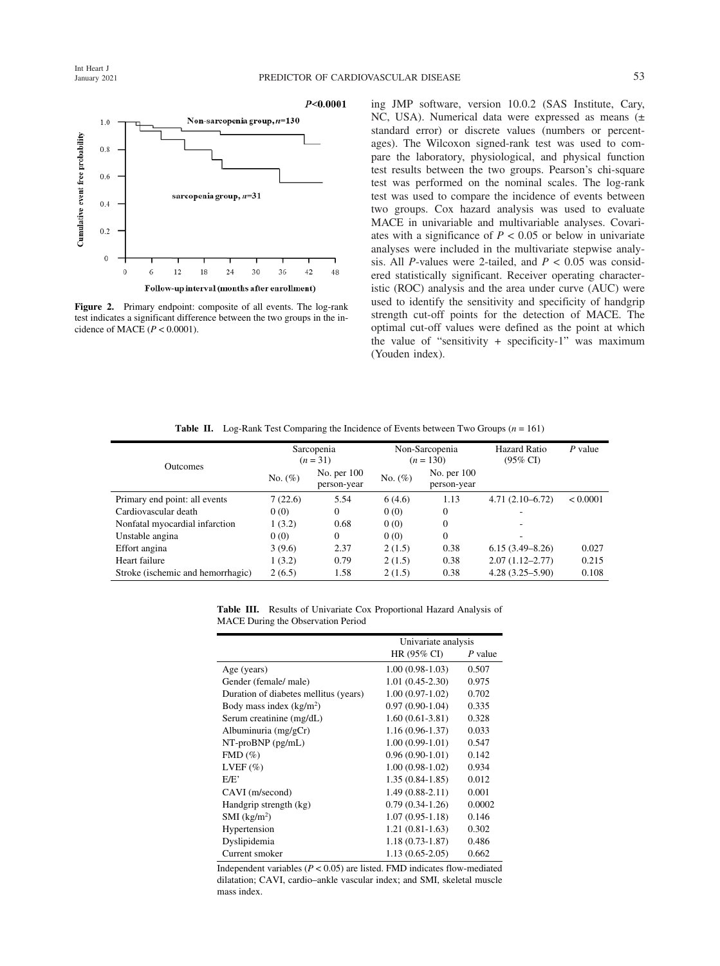

**Figure 2.** Primary endpoint: composite of all events. The log-rank test indicates a significant difference between the two groups in the incidence of MACE  $(P < 0.0001)$ .

ing JMP software, version 10.0.2 (SAS Institute, Cary, NC, USA). Numerical data were expressed as means (± standard error) or discrete values (numbers or percentages). The Wilcoxon signed-rank test was used to compare the laboratory, physiological, and physical function test results between the two groups. Pearson's chi-square test was performed on the nominal scales. The log-rank test was used to compare the incidence of events between two groups. Cox hazard analysis was used to evaluate MACE in univariable and multivariable analyses. Covariates with a significance of  $P < 0.05$  or below in univariate analyses were included in the multivariate stepwise analysis. All *P*-values were 2-tailed, and  $P < 0.05$  was considered statistically significant. Receiver operating characteristic (ROC) analysis and the area under curve (AUC) were used to identify the sensitivity and specificity of handgrip strength cut-off points for the detection of MACE. The optimal cut-off values were defined as the point at which the value of "sensitivity + specificity-1" was maximum (Youden index).

**Table II.** Log-Rank Test Comparing the Incidence of Events between Two Groups  $(n = 161)$ 

| <b>Outcomes</b>                   | Sarcopenia<br>$(n=31)$ |                              | Non-Sarcopenia<br>$(n = 130)$ |                            | Hazard Ratio<br>$(95\% \text{ CI})$ | $P$ value |
|-----------------------------------|------------------------|------------------------------|-------------------------------|----------------------------|-------------------------------------|-----------|
|                                   | No. $(\%)$             | No. per $100$<br>person-year | No. $(\%)$                    | No. per 100<br>person-year |                                     |           |
| Primary end point: all events     | 7(22.6)                | 5.54                         | 6(4.6)                        | 1.13                       | $4.71(2.10-6.72)$                   | < 0.0001  |
| Cardiovascular death              | 0(0)                   | $\Omega$                     | 0(0)                          | 0                          |                                     |           |
| Nonfatal myocardial infarction    | 1(3.2)                 | 0.68                         | 0(0)                          | $\mathbf{0}$               |                                     |           |
| Unstable angina                   | 0(0)                   | $\Omega$                     | 0(0)                          | $\mathbf{0}$               |                                     |           |
| Effort angina                     | 3(9.6)                 | 2.37                         | 2(1.5)                        | 0.38                       | $6.15(3.49 - 8.26)$                 | 0.027     |
| Heart failure                     | 1(3.2)                 | 0.79                         | 2(1.5)                        | 0.38                       | $2.07(1.12 - 2.77)$                 | 0.215     |
| Stroke (ischemic and hemorrhagic) | 2(6.5)                 | 1.58                         | 2(1.5)                        | 0.38                       | $4.28(3.25 - 5.90)$                 | 0.108     |

|  |  |                                    | <b>Table III.</b> Results of Univariate Cox Proportional Hazard Analysis of |  |  |
|--|--|------------------------------------|-----------------------------------------------------------------------------|--|--|
|  |  | MACE During the Observation Period |                                                                             |  |  |

|                                       | Univariate analysis |         |  |
|---------------------------------------|---------------------|---------|--|
|                                       | HR (95% CI)         | P value |  |
| Age (years)                           | $1.00(0.98-1.03)$   | 0.507   |  |
| Gender (female/male)                  | $1.01(0.45-2.30)$   | 0.975   |  |
| Duration of diabetes mellitus (years) | $1.00(0.97-1.02)$   | 0.702   |  |
| Body mass index $(kg/m2)$             | $0.97(0.90-1.04)$   | 0.335   |  |
| Serum creatinine (mg/dL)              | $1.60(0.61-3.81)$   | 0.328   |  |
| Albuminuria $(mg/gCr)$                | 1.16 (0.96-1.37)    | 0.033   |  |
| $NT-proBNP$ ( $pg/mL$ )               | $1.00(0.99-1.01)$   | 0.547   |  |
| $FMD(\%)$                             | $0.96(0.90-1.01)$   | 0.142   |  |
| LVEF $(\%)$                           | $1.00(0.98-1.02)$   | 0.934   |  |
| E/E'                                  | $1.35(0.84-1.85)$   | 0.012   |  |
| CAVI (m/second)                       | $1.49(0.88-2.11)$   | 0.001   |  |
| Handgrip strength (kg)                | $0.79(0.34-1.26)$   | 0.0002  |  |
| $SMI$ (kg/m <sup>2</sup> )            | $1.07(0.95-1.18)$   | 0.146   |  |
| Hypertension                          | $1.21(0.81-1.63)$   | 0.302   |  |
| Dyslipidemia                          | $1.18(0.73 - 1.87)$ | 0.486   |  |
| Current smoker                        | $1.13(0.65-2.05)$   | 0.662   |  |

Independent variables  $(P < 0.05)$  are listed. FMD indicates flow-mediated dilatation; CAVI, cardio–ankle vascular index; and SMI, skeletal muscle mass index.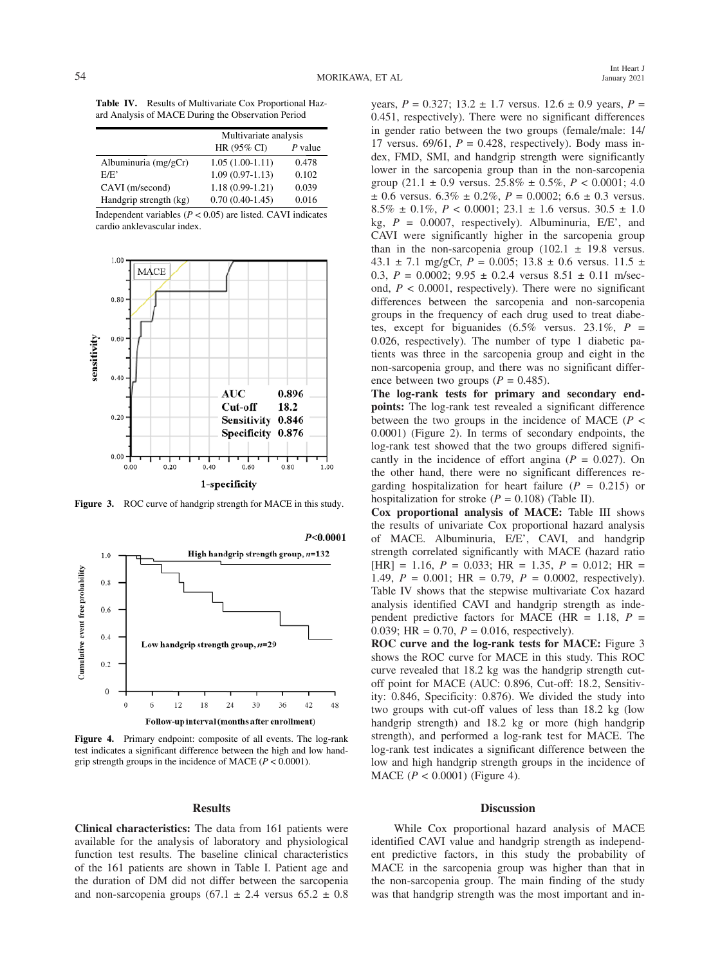**Table IV.** Results of Multivariate Cox Proportional Hazard Analysis of MACE During the Observation Period

|                        | Multivariate analysis |         |  |
|------------------------|-----------------------|---------|--|
|                        | HR (95% CI)           | P value |  |
| Albuminuria $(mg/gCr)$ | $1.05(1.00-1.11)$     | 0.478   |  |
| E/E'                   | $1.09(0.97-1.13)$     | 0.102   |  |
| CAVI (m/second)        | $1.18(0.99 - 1.21)$   | 0.039   |  |
| Handgrip strength (kg) | $0.70(0.40-1.45)$     | 0.016   |  |

Independent variables ( $P < 0.05$ ) are listed. CAVI indicates cardio anklevascular index.



**Figure 3.** ROC curve of handgrip strength for MACE in this study.



**Figure 4.** Primary endpoint: composite of all events. The log-rank test indicates a significant difference between the high and low handgrip strength groups in the incidence of MACE (*P* < 0.0001).

## **Results**

**Clinical characteristics:** The data from 161 patients were available for the analysis of laboratory and physiological function test results. The baseline clinical characteristics of the 161 patients are shown in Table I. Patient age and the duration of DM did not differ between the sarcopenia and non-sarcopenia groups (67.1  $\pm$  2.4 versus 65.2  $\pm$  0.8

years,  $P = 0.327$ ;  $13.2 \pm 1.7$  versus.  $12.6 \pm 0.9$  years,  $P =$ 0.451, respectively). There were no significant differences in gender ratio between the two groups (female/male: 14/ 17 versus. 69/61,  $P = 0.428$ , respectively). Body mass index, FMD, SMI, and handgrip strength were significantly lower in the sarcopenia group than in the non-sarcopenia group  $(21.1 \pm 0.9 \text{ versus. } 25.8\% \pm 0.5\%, P < 0.0001; 4.0)$  $\pm$  0.6 versus. 6.3%  $\pm$  0.2%, *P* = 0.0002; 6.6  $\pm$  0.3 versus. 8.5%  $\pm$  0.1%,  $P < 0.0001$ ; 23.1  $\pm$  1.6 versus. 30.5  $\pm$  1.0 kg, *P* = 0.0007, respectively). Albuminuria, E/E', and CAVI were significantly higher in the sarcopenia group than in the non-sarcopenia group  $(102.1 \pm 19.8 \text{ versus.})$ 43.1  $\pm$  7.1 mg/gCr, *P* = 0.005; 13.8  $\pm$  0.6 versus. 11.5  $\pm$ 0.3,  $P = 0.0002$ ;  $9.95 \pm 0.2.4$  versus  $8.51 \pm 0.11$  m/second,  $P < 0.0001$ , respectively). There were no significant differences between the sarcopenia and non-sarcopenia groups in the frequency of each drug used to treat diabetes, except for biguanides  $(6.5\%$  versus. 23.1\%,  $P =$ 0.026, respectively). The number of type 1 diabetic patients was three in the sarcopenia group and eight in the non-sarcopenia group, and there was no significant difference between two groups  $(P = 0.485)$ .

**The log-rank tests for primary and secondary endpoints:** The log-rank test revealed a significant difference between the two groups in the incidence of MACE (*P* < 0.0001) (Figure 2). In terms of secondary endpoints, the log-rank test showed that the two groups differed significantly in the incidence of effort angina  $(P = 0.027)$ . On the other hand, there were no significant differences regarding hospitalization for heart failure  $(P = 0.215)$  or hospitalization for stroke  $(P = 0.108)$  (Table II).

**Cox proportional analysis of MACE:** Table III shows the results of univariate Cox proportional hazard analysis of MACE. Albuminuria, E/E', CAVI, and handgrip strength correlated significantly with MACE (hazard ratio  $[HR] = 1.16$ ,  $P = 0.033$ ;  $HR = 1.35$ ,  $P = 0.012$ ;  $HR =$ 1.49, *P* = 0.001; HR = 0.79, *P* = 0.0002, respectively). Table IV shows that the stepwise multivariate Cox hazard analysis identified CAVI and handgrip strength as independent predictive factors for MACE (HR  $= 1.18$ ,  $P =$ 0.039; HR = 0.70,  $P = 0.016$ , respectively).

**ROC curve and the log-rank tests for MACE:** Figure 3 shows the ROC curve for MACE in this study. This ROC curve revealed that 18.2 kg was the handgrip strength cutoff point for MACE (AUC: 0.896, Cut-off: 18.2, Sensitivity: 0.846, Specificity: 0.876). We divided the study into two groups with cut-off values of less than 18.2 kg (low handgrip strength) and 18.2 kg or more (high handgrip strength), and performed a log-rank test for MACE. The log-rank test indicates a significant difference between the low and high handgrip strength groups in the incidence of MACE (*P* < 0.0001) (Figure 4).

## **Discussion**

While Cox proportional hazard analysis of MACE identified CAVI value and handgrip strength as independent predictive factors, in this study the probability of MACE in the sarcopenia group was higher than that in the non-sarcopenia group. The main finding of the study was that handgrip strength was the most important and in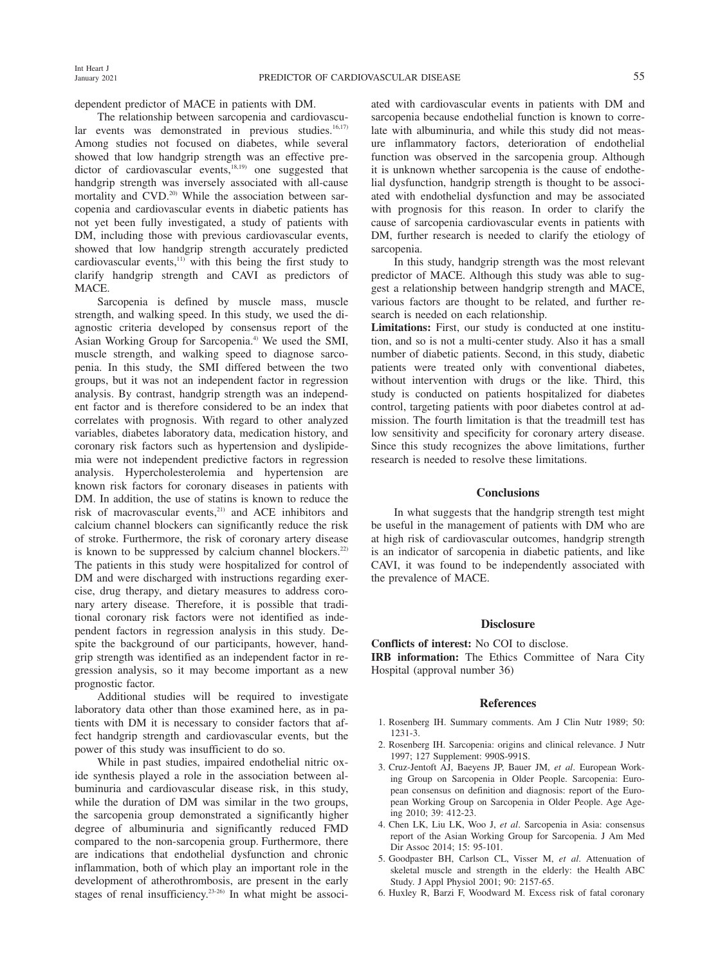dependent predictor of MACE in patients with DM.

The relationship between sarcopenia and cardiovascular events was demonstrated in previous studies. $16,17$ Among studies not focused on diabetes, while several showed that low handgrip strength was an effective predictor of cardiovascular events, $18,19)$  one suggested that handgrip strength was inversely associated with all-cause mortality and CVD.<sup>20)</sup> While the association between sarcopenia and cardiovascular events in diabetic patients has not yet been fully investigated, a study of patients with DM, including those with previous cardiovascular events, showed that low handgrip strength accurately predicted cardiovascular events, $11)$  with this being the first study to clarify handgrip strength and CAVI as predictors of MACE.

Sarcopenia is defined by muscle mass, muscle strength, and walking speed. In this study, we used the diagnostic criteria developed by consensus report of the Asian Working Group for Sarcopenia.<sup>4)</sup> We used the SMI, muscle strength, and walking speed to diagnose sarcopenia. In this study, the SMI differed between the two groups, but it was not an independent factor in regression analysis. By contrast, handgrip strength was an independent factor and is therefore considered to be an index that correlates with prognosis. With regard to other analyzed variables, diabetes laboratory data, medication history, and coronary risk factors such as hypertension and dyslipidemia were not independent predictive factors in regression analysis. Hypercholesterolemia and hypertension are known risk factors for coronary diseases in patients with DM. In addition, the use of statins is known to reduce the risk of macrovascular events,<sup>21)</sup> and ACE inhibitors and calcium channel blockers can significantly reduce the risk of stroke. Furthermore, the risk of coronary artery disease is known to be suppressed by calcium channel blockers.<sup>22)</sup> The patients in this study were hospitalized for control of DM and were discharged with instructions regarding exercise, drug therapy, and dietary measures to address coronary artery disease. Therefore, it is possible that traditional coronary risk factors were not identified as independent factors in regression analysis in this study. Despite the background of our participants, however, handgrip strength was identified as an independent factor in regression analysis, so it may become important as a new prognostic factor.

Additional studies will be required to investigate laboratory data other than those examined here, as in patients with DM it is necessary to consider factors that affect handgrip strength and cardiovascular events, but the power of this study was insufficient to do so.

While in past studies, impaired endothelial nitric oxide synthesis played a role in the association between albuminuria and cardiovascular disease risk, in this study, while the duration of DM was similar in the two groups, the sarcopenia group demonstrated a significantly higher degree of albuminuria and significantly reduced FMD compared to the non-sarcopenia group. Furthermore, there are indications that endothelial dysfunction and chronic inflammation, both of which play an important role in the development of atherothrombosis, are present in the early stages of renal insufficiency.<sup>23-26)</sup> In what might be associated with cardiovascular events in patients with DM and sarcopenia because endothelial function is known to correlate with albuminuria, and while this study did not measure inflammatory factors, deterioration of endothelial function was observed in the sarcopenia group. Although it is unknown whether sarcopenia is the cause of endothelial dysfunction, handgrip strength is thought to be associated with endothelial dysfunction and may be associated with prognosis for this reason. In order to clarify the cause of sarcopenia cardiovascular events in patients with DM, further research is needed to clarify the etiology of sarcopenia.

In this study, handgrip strength was the most relevant predictor of MACE. Although this study was able to suggest a relationship between handgrip strength and MACE, various factors are thought to be related, and further research is needed on each relationship.

**Limitations:** First, our study is conducted at one institution, and so is not a multi-center study. Also it has a small number of diabetic patients. Second, in this study, diabetic patients were treated only with conventional diabetes, without intervention with drugs or the like. Third, this study is conducted on patients hospitalized for diabetes control, targeting patients with poor diabetes control at admission. The fourth limitation is that the treadmill test has low sensitivity and specificity for coronary artery disease. Since this study recognizes the above limitations, further research is needed to resolve these limitations.

## **Conclusions**

In what suggests that the handgrip strength test might be useful in the management of patients with DM who are at high risk of cardiovascular outcomes, handgrip strength is an indicator of sarcopenia in diabetic patients, and like CAVI, it was found to be independently associated with the prevalence of MACE.

## **Disclosure**

**Conflicts of interest:** No COI to disclose. **IRB information:** The Ethics Committee of Nara City Hospital (approval number 36)

#### **References**

- 1. Rosenberg IH. Summary comments. Am J Clin Nutr 1989; 50: 1231-3.
- 2. Rosenberg IH. Sarcopenia: origins and clinical relevance. J Nutr 1997; 127 Supplement: 990S-991S.
- 3. Cruz-Jentoft AJ, Baeyens JP, Bauer JM, *et al*. European Working Group on Sarcopenia in Older People. Sarcopenia: European consensus on definition and diagnosis: report of the European Working Group on Sarcopenia in Older People. Age Ageing 2010; 39: 412-23.
- 4. Chen LK, Liu LK, Woo J, *et al*. Sarcopenia in Asia: consensus report of the Asian Working Group for Sarcopenia. J Am Med Dir Assoc 2014; 15: 95-101.
- 5. Goodpaster BH, Carlson CL, Visser M, *et al*. Attenuation of skeletal muscle and strength in the elderly: the Health ABC Study. J Appl Physiol 2001; 90: 2157-65.
- 6. Huxley R, Barzi F, Woodward M. Excess risk of fatal coronary